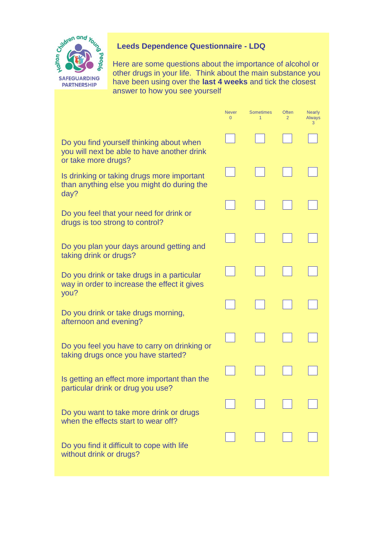

## **Leeds Dependence Questionnaire - LDQ**

Here are some questions about the importance of alcohol or other drugs in your life. Think about the main substance you have been using over the **last 4 weeks** and tick the closest answer to how you see yourself

|                                                                                                                | <b>Never</b><br>0 | <b>Sometimes</b> | <b>Often</b><br>$\overline{2}$ | <b>Nearly</b><br><b>Always</b><br>з |
|----------------------------------------------------------------------------------------------------------------|-------------------|------------------|--------------------------------|-------------------------------------|
| Do you find yourself thinking about when<br>you will next be able to have another drink<br>or take more drugs? |                   |                  |                                |                                     |
| Is drinking or taking drugs more important<br>than anything else you might do during the<br>day?               |                   |                  |                                |                                     |
| Do you feel that your need for drink or<br>drugs is too strong to control?                                     |                   |                  |                                |                                     |
| Do you plan your days around getting and<br>taking drink or drugs?                                             |                   |                  |                                |                                     |
| Do you drink or take drugs in a particular<br>way in order to increase the effect it gives<br>you?             |                   |                  |                                |                                     |
| Do you drink or take drugs morning,<br>afternoon and evening?                                                  |                   |                  |                                |                                     |
| Do you feel you have to carry on drinking or<br>taking drugs once you have started?                            |                   |                  |                                |                                     |
| Is getting an effect more important than the<br>particular drink or drug you use?                              |                   |                  |                                |                                     |
| Do you want to take more drink or drugs<br>when the effects start to wear off?                                 |                   |                  |                                |                                     |
| Do you find it difficult to cope with life<br>without drink or drugs?                                          |                   |                  |                                |                                     |